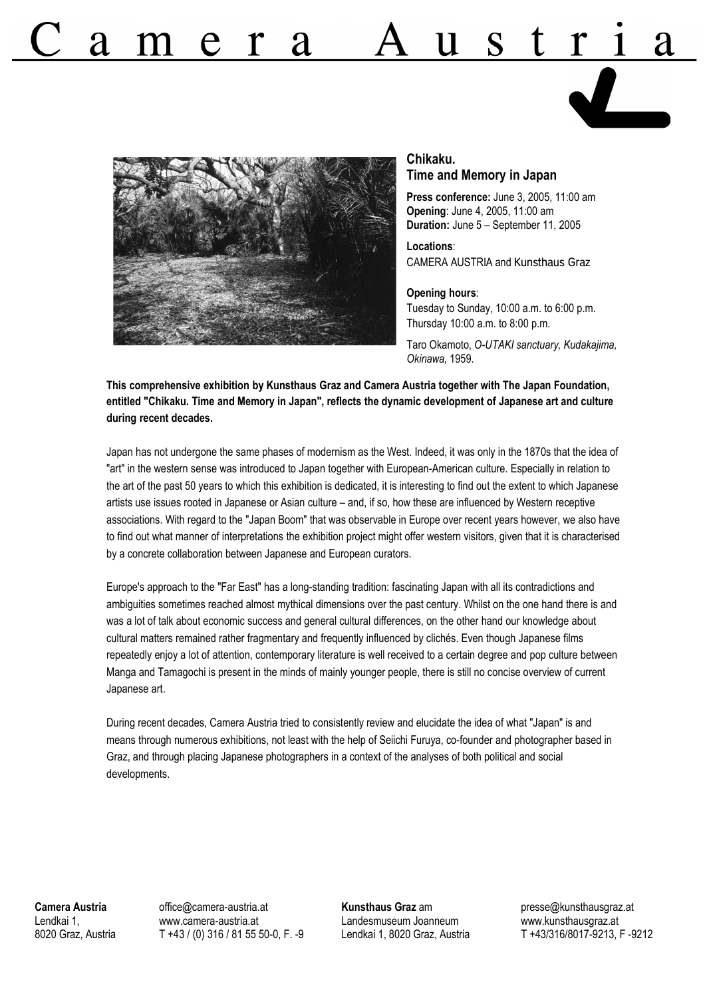

# **Chikaku.**

**Time and Memory in Japan**

**Press conference:** June 3, 2005, 11:00 am **Opening**: June 4, 2005, 11:00 am **Duration:** June 5 – September 11, 2005

**Locations**: CAMERA AUSTRIA and Kunsthaus Graz

#### **Opening hours**:

Tuesday to Sunday, 10:00 a.m. to 6:00 p.m. Thursday 10:00 a.m. to 8:00 p.m.

Taro Okamoto, *O-UTAKI sanctuary, Kudakajima, Okinawa,* 1959.

**This comprehensive exhibition by Kunsthaus Graz and Camera Austria together with The Japan Foundation, entitled "Chikaku. Time and Memory in Japan", reflects the dynamic development of Japanese art and culture during recent decades.**

Japan has not undergone the same phases of modernism as the West. Indeed, it was only in the 1870s that the idea of "art" in the western sense was introduced to Japan together with European-American culture. Especially in relation to the art of the past 50 years to which this exhibition is dedicated, it is interesting to find out the extent to which Japanese artists use issues rooted in Japanese or Asian culture – and, if so, how these are influenced by Western receptive associations. With regard to the "Japan Boom" that was observable in Europe over recent years however, we also have to find out what manner of interpretations the exhibition project might offer western visitors, given that it is characterised by a concrete collaboration between Japanese and European curators.

Europe's approach to the "Far East" has a long-standing tradition: fascinating Japan with all its contradictions and ambiguities sometimes reached almost mythical dimensions over the past century. Whilst on the one hand there is and was a lot of talk about economic success and general cultural differences, on the other hand our knowledge about cultural matters remained rather fragmentary and frequently influenced by clichés. Even though Japanese films repeatedly enjoy a lot of attention, contemporary literature is well received to a certain degree and pop culture between Manga and Tamagochi is present in the minds of mainly younger people, there is still no concise overview of current Japanese art.

During recent decades, Camera Austria tried to consistently review and elucidate the idea of what "Japan" is and means through numerous exhibitions, not least with the help of Seiichi Furuya, co-founder and photographer based in Graz, and through placing Japanese photographers in a context of the analyses of both political and social developments.

**Camera Austria** Lendkai 1, 8020 Graz, Austria office@camera-austria.at www.camera-austria.at T +43 / (0) 316 / 81 55 50-0, F. -9 **Kunsthaus Graz** am Landesmuseum Joanneum Lendkai 1, 8020 Graz, Austria presse@kunsthausgraz.at www.kunsthausgraz.at T +43/316/8017-9213, F -9212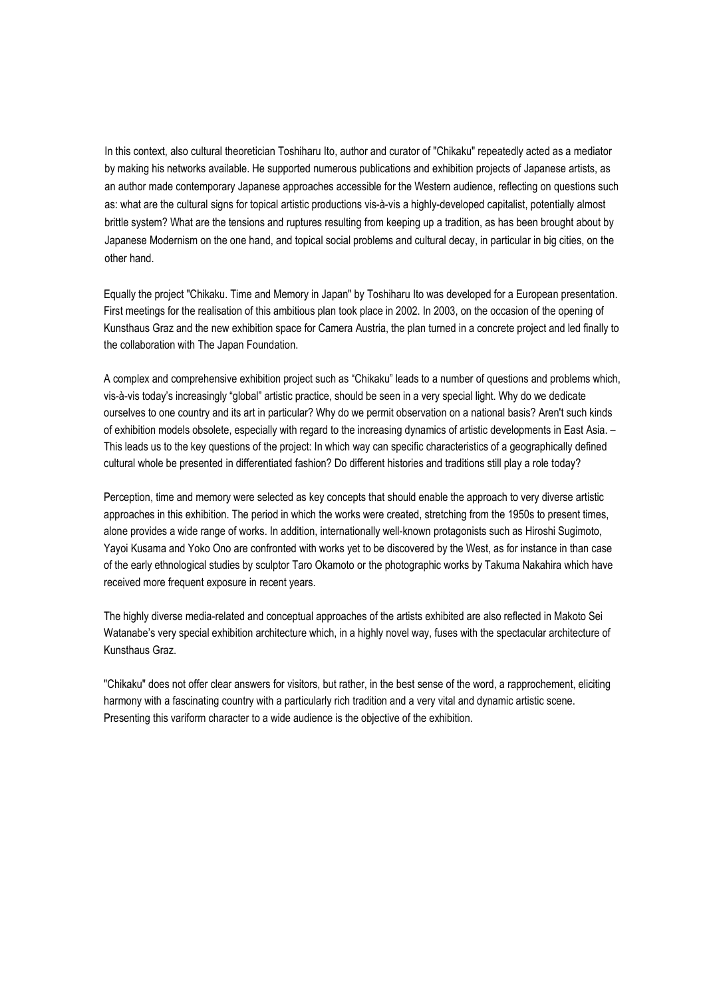In this context, also cultural theoretician Toshiharu Ito, author and curator of "Chikaku" repeatedly acted as a mediator by making his networks available. He supported numerous publications and exhibition projects of Japanese artists, as an author made contemporary Japanese approaches accessible for the Western audience, reflecting on questions such as: what are the cultural signs for topical artistic productions vis-à-vis a highly-developed capitalist, potentially almost brittle system? What are the tensions and ruptures resulting from keeping up a tradition, as has been brought about by Japanese Modernism on the one hand, and topical social problems and cultural decay, in particular in big cities, on the other hand.

Equally the project "Chikaku. Time and Memory in Japan" by Toshiharu Ito was developed for a European presentation. First meetings for the realisation of this ambitious plan took place in 2002. In 2003, on the occasion of the opening of Kunsthaus Graz and the new exhibition space for Camera Austria, the plan turned in a concrete project and led finally to the collaboration with The Japan Foundation.

A complex and comprehensive exhibition project such as "Chikaku" leads to a number of questions and problems which, vis-à-vis today's increasingly "global" artistic practice, should be seen in a very special light. Why do we dedicate ourselves to one country and its art in particular? Why do we permit observation on a national basis? Aren't such kinds of exhibition models obsolete, especially with regard to the increasing dynamics of artistic developments in East Asia. – This leads us to the key questions of the project: In which way can specific characteristics of a geographically defined cultural whole be presented in differentiated fashion? Do different histories and traditions still play a role today?

Perception, time and memory were selected as key concepts that should enable the approach to very diverse artistic approaches in this exhibition. The period in which the works were created, stretching from the 1950s to present times, alone provides a wide range of works. In addition, internationally well-known protagonists such as Hiroshi Sugimoto, Yayoi Kusama and Yoko Ono are confronted with works yet to be discovered by the West, as for instance in than case of the early ethnological studies by sculptor Taro Okamoto or the photographic works by Takuma Nakahira which have received more frequent exposure in recent years.

The highly diverse media-related and conceptual approaches of the artists exhibited are also reflected in Makoto Sei Watanabe's very special exhibition architecture which, in a highly novel way, fuses with the spectacular architecture of Kunsthaus Graz.

"Chikaku" does not offer clear answers for visitors, but rather, in the best sense of the word, a rapprochement, eliciting harmony with a fascinating country with a particularly rich tradition and a very vital and dynamic artistic scene. Presenting this variform character to a wide audience is the objective of the exhibition.